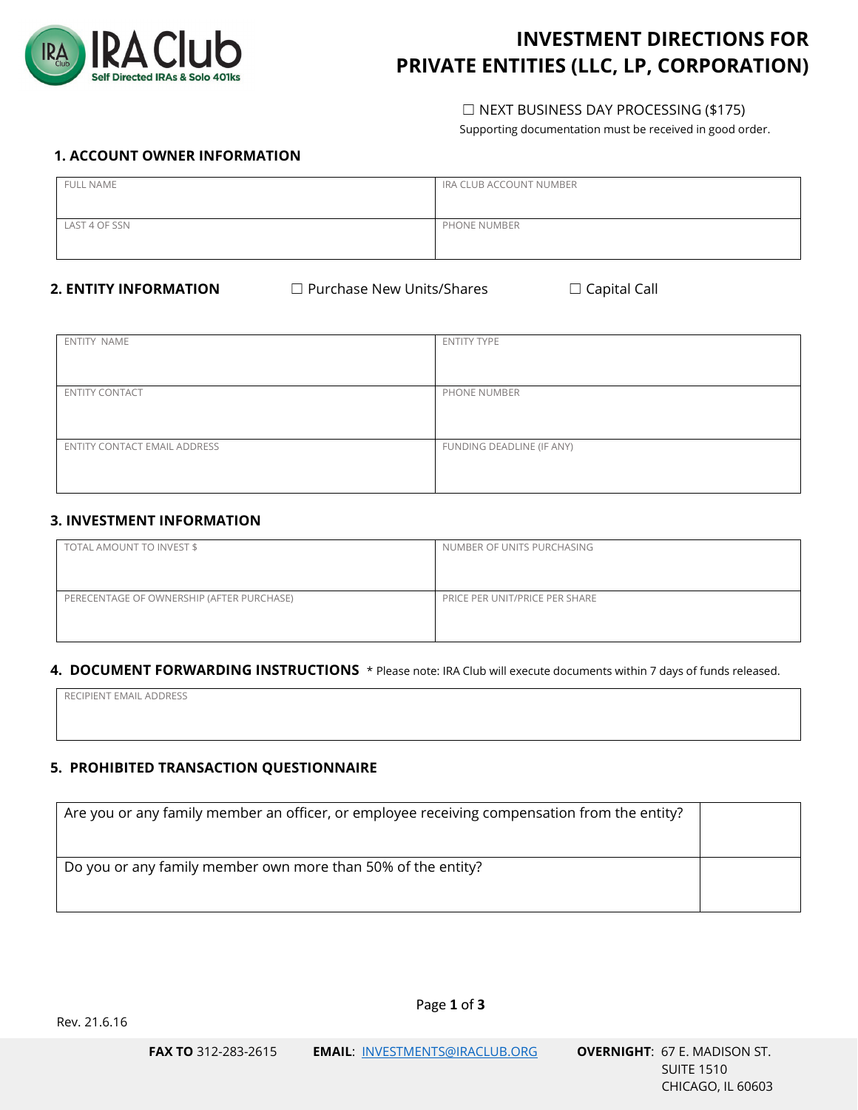

# **INVESTMENT DIRECTIONS FOR PRIVATE ENTITIES (LLC, LP, CORPORATION)**

## ☐ NEXT BUSINESS DAY PROCESSING (\$175)

Supporting documentation must be received in good order.

## **1. ACCOUNT OWNER INFORMATION**

| <b>FULL NAME</b> | IRA CLUB ACCOUNT NUMBER |
|------------------|-------------------------|
| LAST 4 OF SSN    | PHONE NUMBER            |

**2. ENTITY INFORMATION** □ Purchase New Units/Shares □ Capital Call

| ENTITY NAME                  | <b>ENTITY TYPE</b>        |
|------------------------------|---------------------------|
|                              |                           |
|                              |                           |
| <b>ENTITY CONTACT</b>        | PHONE NUMBER              |
|                              |                           |
|                              |                           |
| ENTITY CONTACT EMAIL ADDRESS | FUNDING DEADLINE (IF ANY) |
|                              |                           |
|                              |                           |

## **3. INVESTMENT INFORMATION**

| TOTAL AMOUNT TO INVEST \$                 | NUMBER OF UNITS PURCHASING     |
|-------------------------------------------|--------------------------------|
| PERECENTAGE OF OWNERSHIP (AFTER PURCHASE) | PRICE PER UNIT/PRICE PER SHARE |

## **4. DOCUMENT FORWARDING INSTRUCTIONS** \* Please note: IRA Club will execute documents within 7 days of funds released.

RECIPIENT EMAIL ADDRESS

## **5. PROHIBITED TRANSACTION QUESTIONNAIRE**

| Are you or any family member an officer, or employee receiving compensation from the entity? |  |
|----------------------------------------------------------------------------------------------|--|
|                                                                                              |  |
| Do you or any family member own more than 50% of the entity?                                 |  |
|                                                                                              |  |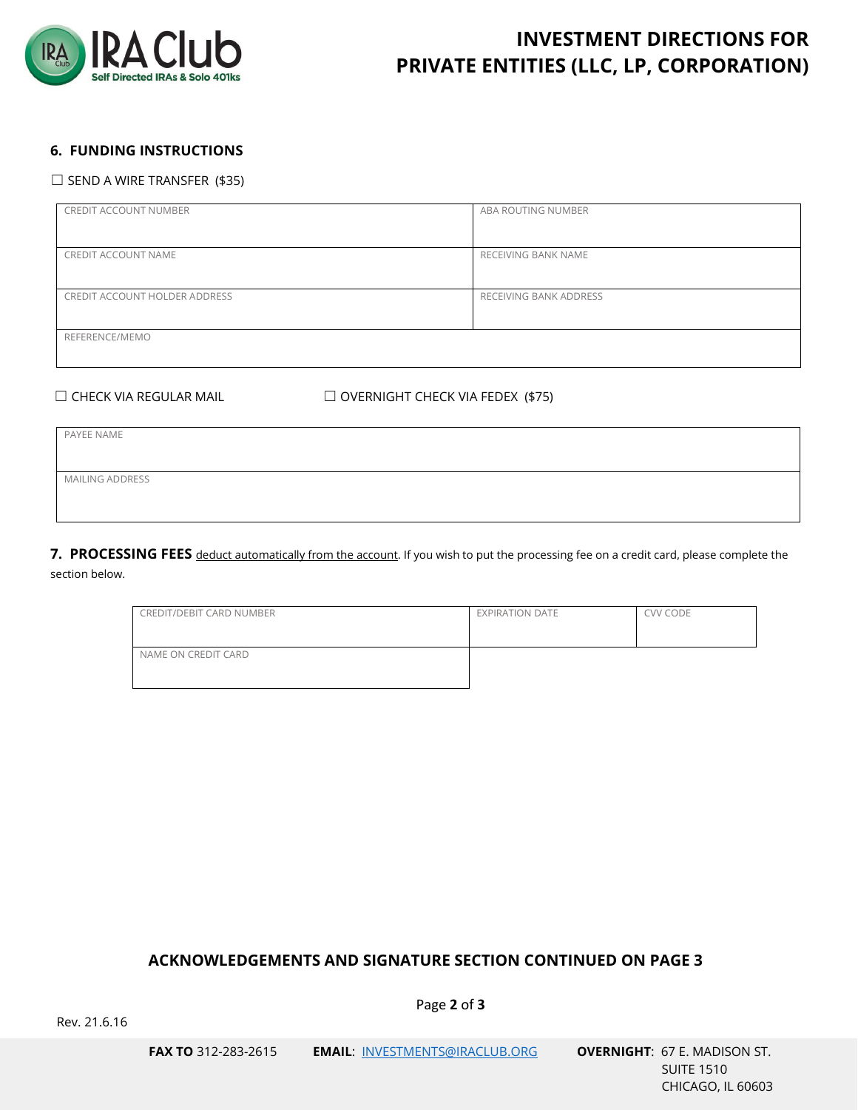

# **INVESTMENT DIRECTIONS FOR PRIVATE ENTITIES (LLC, LP, CORPORATION)**

## **6. FUNDING INSTRUCTIONS**

#### $\Box$  SEND A WIRE TRANSFER (\$35)

| CREDIT ACCOUNT NUMBER         | ABA ROUTING NUMBER     |
|-------------------------------|------------------------|
| CREDIT ACCOUNT NAME           | RECEIVING BANK NAME    |
| CREDIT ACCOUNT HOLDER ADDRESS | RECEIVING BANK ADDRESS |
| REFERENCE/MEMO                |                        |

☐ CHECK VIA REGULAR MAIL ☐ OVERNIGHT CHECK VIA FEDEX (\$75)

PAYEE NAME MAILING ADDRESS

**7. PROCESSING FEES** deduct automatically from the account. If you wish to put the processing fee on a credit card, please complete the section below.

| CREDIT/DEBIT CARD NUMBER | EXPIRATION DATE | CVV CODE |
|--------------------------|-----------------|----------|
| NAME ON CREDIT CARD      |                 |          |

## **ACKNOWLEDGEMENTS AND SIGNATURE SECTION CONTINUED ON PAGE 3**